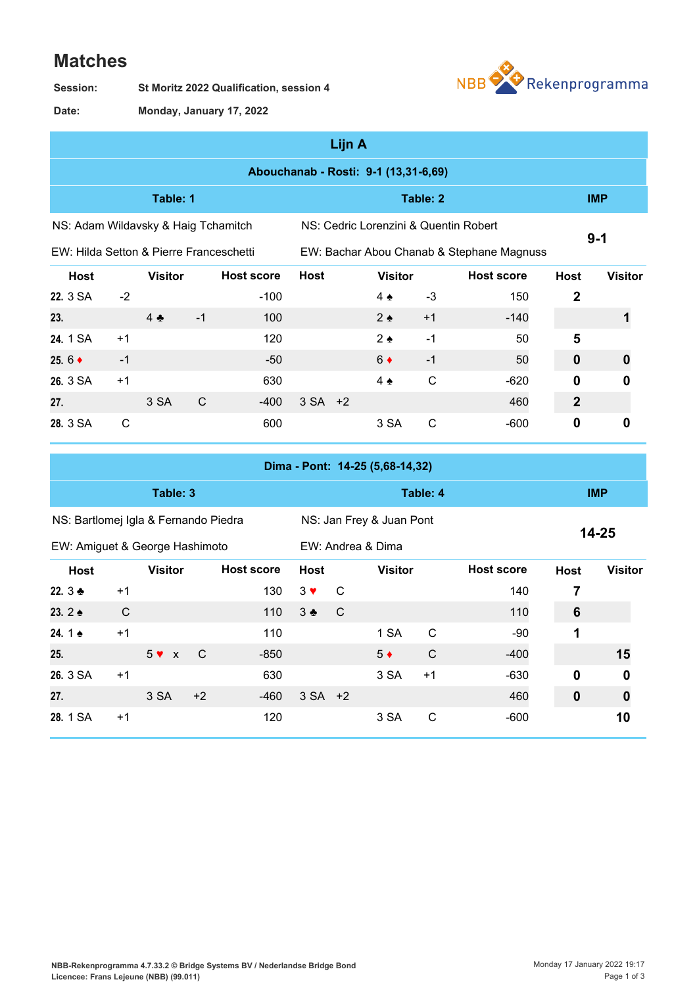## **Matches**

**St Moritz 2022 Qualification, session 4 Session:**



**Monday, January 17, 2022 Date:**

|                                                                  |                                      |                 |              |                   |             | Lijn A                                |                |              |                                           |                  |                |  |
|------------------------------------------------------------------|--------------------------------------|-----------------|--------------|-------------------|-------------|---------------------------------------|----------------|--------------|-------------------------------------------|------------------|----------------|--|
|                                                                  | Abouchanab - Rosti: 9-1 (13,31-6,69) |                 |              |                   |             |                                       |                |              |                                           |                  |                |  |
|                                                                  |                                      | Table: 1        |              |                   |             |                                       |                | Table: 2     |                                           |                  | <b>IMP</b>     |  |
| NS: Adam Wildavsky & Haig Tchamitch                              |                                      |                 |              |                   |             | NS: Cedric Lorenzini & Quentin Robert | $9 - 1$        |              |                                           |                  |                |  |
| EW: Hilda Setton & Pierre Franceschetti                          |                                      |                 |              |                   |             |                                       |                |              | EW: Bachar Abou Chanab & Stephane Magnuss |                  |                |  |
| <b>Host</b>                                                      |                                      | <b>Visitor</b>  |              | <b>Host score</b> | <b>Host</b> |                                       | <b>Visitor</b> |              | <b>Host score</b>                         | <b>Host</b>      | <b>Visitor</b> |  |
| 22. 3 SA                                                         | $-2$                                 |                 |              | $-100$            |             |                                       | $4 \triangle$  | -3           | 150                                       | $\boldsymbol{2}$ |                |  |
| 23.                                                              |                                      | $4$ $\clubsuit$ | $-1$         | 100               |             |                                       | $2 \triangle$  | $+1$         | $-140$                                    |                  |                |  |
| 24. 1 SA                                                         | $+1$                                 |                 |              | 120               |             |                                       | $2 \triangle$  | $-1$         | 50                                        | 5                |                |  |
| 25. $6 +$                                                        | $-1$                                 |                 |              | $-50$             |             |                                       | $6 \bullet$    | $-1$         | 50                                        | $\boldsymbol{0}$ | 0              |  |
| 26. 3 SA                                                         | $+1$                                 |                 |              | 630               |             |                                       | $4 \triangle$  | $\mathsf{C}$ | $-620$                                    | $\mathbf 0$      | 0              |  |
| 27.                                                              |                                      | 3 SA            | $\mathsf{C}$ | $-400$            | $3 SA +2$   |                                       |                |              | 460                                       | $\boldsymbol{2}$ |                |  |
| 28. 3 SA                                                         | $\mathsf{C}$                         |                 |              | 600               |             |                                       | 3 SA           | $\mathsf{C}$ | $-600$                                    | $\mathbf 0$      | $\mathbf 0$    |  |
| Dima - Pont: 14-25 (5,68-14,32)                                  |                                      |                 |              |                   |             |                                       |                |              |                                           |                  |                |  |
|                                                                  | Table: 3                             |                 |              |                   |             |                                       | Table: 4       |              |                                           |                  |                |  |
| NS: Bartlomei Igla & Fernando Piedra<br>NS: Jan Frev & Juan Pont |                                      |                 |              |                   |             |                                       |                |              |                                           |                  |                |  |

| <u>NO. Darlioniej igra &amp; Ferrianuo Piedra</u> |      |                |      |                   |             |                   | <b>NO. JAIL FIBY &amp; JUAL PUIL</b> |      |                   | $14 - 25$   |                  |
|---------------------------------------------------|------|----------------|------|-------------------|-------------|-------------------|--------------------------------------|------|-------------------|-------------|------------------|
| EW: Amiguet & George Hashimoto                    |      |                |      |                   |             | EW: Andrea & Dima |                                      |      |                   |             |                  |
| <b>Host</b>                                       |      | <b>Visitor</b> |      | <b>Host score</b> | Host        |                   | <b>Visitor</b>                       |      | <b>Host score</b> | <b>Host</b> | <b>Visitor</b>   |
| 22. $3 +$                                         | $+1$ |                |      | 130               | $3 \vee$    | - C               |                                      |      | 140               | 7           |                  |
| 23. $2 \triangle$                                 | C    |                |      | 110               | $3 \bullet$ | - C               |                                      |      | 110               | 6           |                  |
| 24.1 $\bullet$                                    | $+1$ |                |      | 110               |             |                   | 1 SA                                 | C    | $-90$             | 1           |                  |
| 25.                                               |      | $5 \vee x$     | - C  | $-850$            |             |                   | $5*$                                 | C    | $-400$            |             | 15               |
| 26. 3 SA                                          | $+1$ |                |      | 630               |             |                   | 3 SA                                 | $+1$ | $-630$            | 0           | $\boldsymbol{0}$ |
| 27.                                               |      | 3 SA           | $+2$ | $-460$            | $3 SA +2$   |                   |                                      |      | 460               | 0           | 0                |
| 28. 1 SA                                          | $+1$ |                |      | 120               |             |                   | 3 SA                                 | C    | $-600$            |             | 10               |
|                                                   |      |                |      |                   |             |                   |                                      |      |                   |             |                  |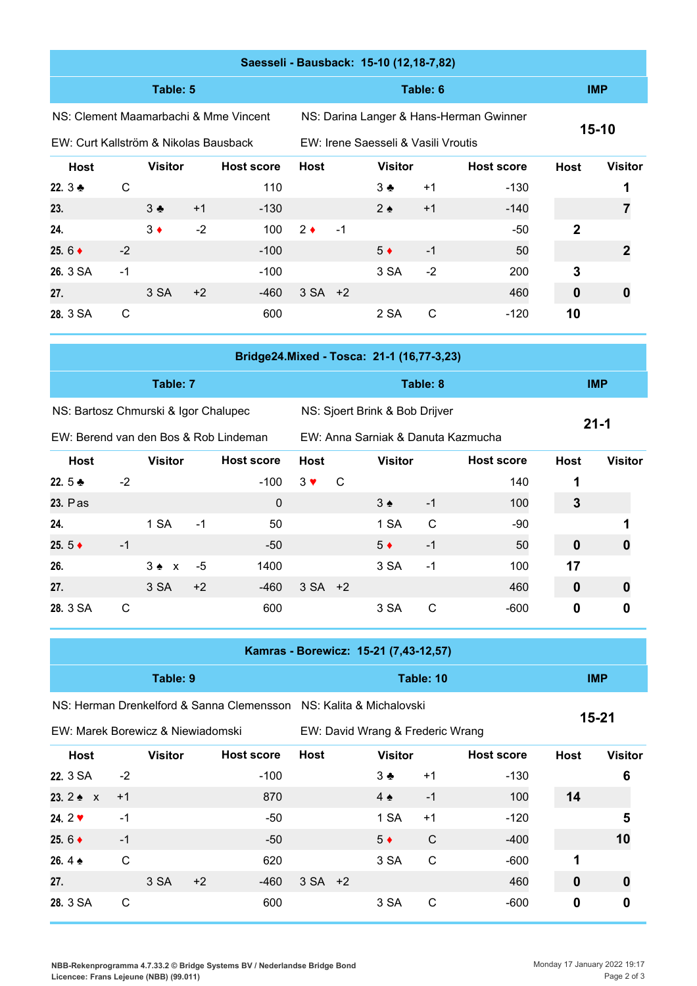|                                       |                                       |                |      | Saesseli - Bausback: 15-10 (12,18-7,82) |             |                                     |                |          |                                         |             |                |
|---------------------------------------|---------------------------------------|----------------|------|-----------------------------------------|-------------|-------------------------------------|----------------|----------|-----------------------------------------|-------------|----------------|
|                                       |                                       | Table: 5       |      |                                         |             |                                     |                | Table: 6 |                                         | <b>IMP</b>  |                |
|                                       | NS: Clement Maamarbachi & Mme Vincent |                |      |                                         |             |                                     |                |          | NS: Darina Langer & Hans-Herman Gwinner |             |                |
| EW: Curt Kallström & Nikolas Bausback |                                       |                |      |                                         |             | EW: Irene Saesseli & Vasili Vroutis |                | $15-10$  |                                         |             |                |
| <b>Host</b>                           |                                       | <b>Visitor</b> |      | <b>Host score</b>                       | <b>Host</b> |                                     | <b>Visitor</b> |          | <b>Host score</b>                       | <b>Host</b> | <b>Visitor</b> |
| 22. $3 +$                             | C                                     |                |      | 110                                     |             |                                     | $3 \bullet$    | $+1$     | $-130$                                  |             |                |
| 23.                                   |                                       | $3 \cdot$      | $+1$ | $-130$                                  |             |                                     | $2 \triangle$  | $+1$     | $-140$                                  |             | 7              |
| 24.                                   |                                       | $3 \bullet$    | $-2$ | 100                                     | $2 \bullet$ | $-1$                                |                |          | $-50$                                   | $\mathbf 2$ |                |
| 25. $6 +$                             | $-2$                                  |                |      | $-100$                                  |             |                                     | $5*$           | $-1$     | 50                                      |             | 2              |
| 26. 3 SA                              | $-1$                                  |                |      | $-100$                                  |             |                                     | 3 SA           | $-2$     | 200                                     | 3           |                |
| 27.                                   |                                       | 3 SA           | $+2$ | $-460$                                  | $3 SA +2$   |                                     |                |          | 460                                     | $\bf{0}$    | 0              |
| 28. 3 SA                              | C                                     |                |      | 600                                     |             |                                     | 2 SA           | C        | $-120$                                  | 10          |                |

|                                       |      |                |      | Bridge24.Mixed - Tosca: 21-1 (16,77-3,23) |             |                                |                                    |            |                   |             |                |
|---------------------------------------|------|----------------|------|-------------------------------------------|-------------|--------------------------------|------------------------------------|------------|-------------------|-------------|----------------|
|                                       |      | Table: 7       |      |                                           |             |                                |                                    | <b>IMP</b> |                   |             |                |
| NS: Bartosz Chmurski & Igor Chalupec  |      |                |      |                                           |             | NS: Sjoert Brink & Bob Drijver |                                    |            |                   |             |                |
| EW: Berend van den Bos & Rob Lindeman |      |                |      |                                           |             |                                | EW: Anna Sarniak & Danuta Kazmucha | $21 - 1$   |                   |             |                |
| <b>Host</b>                           |      | <b>Visitor</b> |      | <b>Host score</b>                         | <b>Host</b> |                                | <b>Visitor</b>                     |            | <b>Host score</b> | <b>Host</b> | <b>Visitor</b> |
| 22. $5 +$                             | $-2$ |                |      | $-100$                                    | $3 \vee$    | C                              |                                    |            | 140               | 1           |                |
| 23. Pas                               |      |                |      | $\mathbf 0$                               |             |                                | $3 \triangleleft$                  | $-1$       | 100               | 3           |                |
| 24.                                   |      | 1 SA           | $-1$ | 50                                        |             |                                | 1 SA                               | C          | -90               |             |                |
| 25. $5 \triangleleft$                 | -1   |                |      | -50                                       |             |                                | $5 \bullet$                        | $-1$       | 50                | 0           |                |

| -----      | ____ |                 | --   |                  |         | --   |    |  |
|------------|------|-----------------|------|------------------|---------|------|----|--|
| 26.        |      | $3 \cdot x - 5$ | 1400 |                  | 3 SA -1 | 100  | 17 |  |
| 27.        |      | $3 SA +2$       |      | $-460$ 3 SA $+2$ |         | 460  |    |  |
| 28. 3 SA C |      |                 | 600  |                  | 3 SA C  | -600 |    |  |

|                                   |      |                |      | Kamras - Borewicz: 15-21 (7,43-12,57)                              |             |                                  |                |              |                   |             |                |
|-----------------------------------|------|----------------|------|--------------------------------------------------------------------|-------------|----------------------------------|----------------|--------------|-------------------|-------------|----------------|
|                                   |      | Table: 9       |      |                                                                    |             |                                  | <b>IMP</b>     |              |                   |             |                |
|                                   |      |                |      | NS: Herman Drenkelford & Sanna Clemensson NS: Kalita & Michalovski |             |                                  |                |              |                   |             |                |
| EW: Marek Borewicz & Niewiadomski |      |                |      |                                                                    |             | EW: David Wrang & Frederic Wrang | $15 - 21$      |              |                   |             |                |
| Host                              |      | <b>Visitor</b> |      | <b>Host score</b>                                                  | <b>Host</b> |                                  | <b>Visitor</b> |              | <b>Host score</b> | <b>Host</b> | <b>Visitor</b> |
| 22. 3 SA                          | $-2$ |                |      | $-100$                                                             |             |                                  | $3 \bullet$    | $+1$         | $-130$            |             | 6              |
| 23. $2 \div x$                    | $+1$ |                |      | 870                                                                |             |                                  | $4 \triangle$  | $-1$         | 100               | 14          |                |
| 24. $2 \times$                    | $-1$ |                |      | $-50$                                                              |             |                                  | 1 SA           | $+1$         | $-120$            |             | 5              |
| 25. $6 \triangleleft$             | $-1$ |                |      | $-50$                                                              |             |                                  | $5 \bullet$    | $\mathsf{C}$ | $-400$            |             | 10             |
| 26.4 $\bullet$                    | C    |                |      | 620                                                                |             |                                  | 3 SA           | $\mathsf{C}$ | $-600$            | 1           |                |
| 27.                               |      | 3 SA           | $+2$ | $-460$                                                             | $3 SA +2$   |                                  |                |              | 460               | $\mathbf 0$ |                |
| 28. 3 SA                          | C    |                |      | 600                                                                |             |                                  | 3 SA           | C            | $-600$            | 0           | 0              |